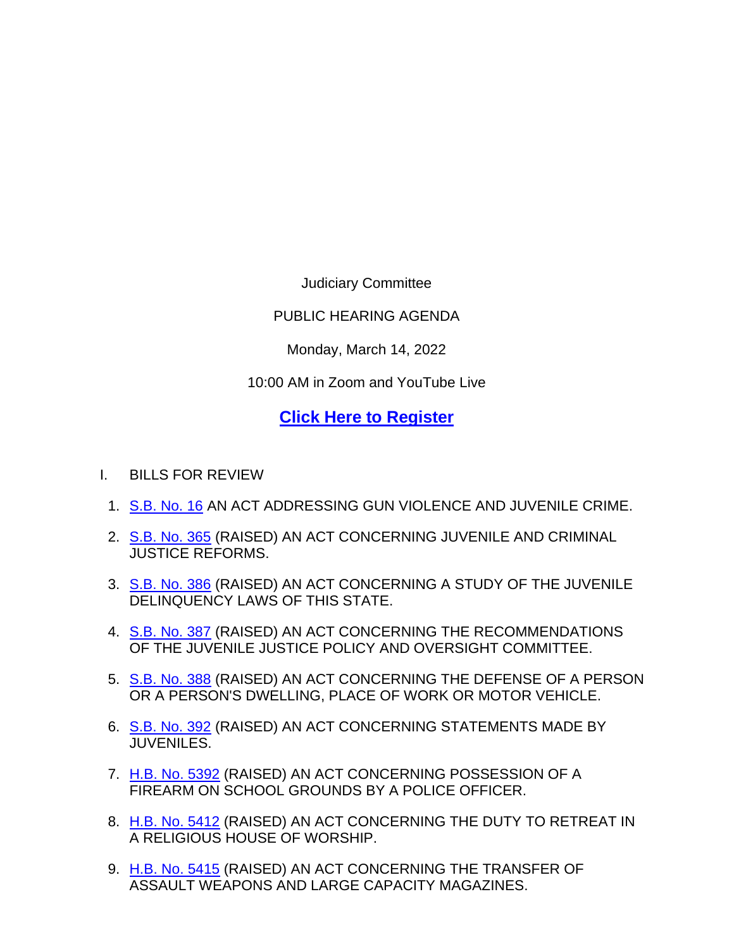Judiciary Committee

PUBLIC HEARING AGENDA

Monday, March 14, 2022

10:00 AM in Zoom and YouTube Live

## **[Click Here to Register](https://zoom.us/webinar/register/WN_ql66Qt7tTCGANmR2QRDQ5w)**

- I. BILLS FOR REVIEW
	- 1. [S.B. No. 16](http://www.cga.ct.gov/asp/cgabillstatus/cgabillstatus.asp?selBillType=Bill&bill_num=SB00016&which_year=2022) AN ACT ADDRESSING GUN VIOLENCE AND JUVENILE CRIME.
	- 2. [S.B. No. 365](http://www.cga.ct.gov/asp/cgabillstatus/cgabillstatus.asp?selBillType=Bill&bill_num=SB00365&which_year=2022) (RAISED) AN ACT CONCERNING JUVENILE AND CRIMINAL JUSTICE REFORMS.
	- 3. [S.B. No. 386](http://www.cga.ct.gov/asp/cgabillstatus/cgabillstatus.asp?selBillType=Bill&bill_num=SB00386&which_year=2022) (RAISED) AN ACT CONCERNING A STUDY OF THE JUVENILE DELINQUENCY LAWS OF THIS STATE.
	- 4. [S.B. No. 387](http://www.cga.ct.gov/asp/cgabillstatus/cgabillstatus.asp?selBillType=Bill&bill_num=SB00387&which_year=2022) (RAISED) AN ACT CONCERNING THE RECOMMENDATIONS OF THE JUVENILE JUSTICE POLICY AND OVERSIGHT COMMITTEE.
	- 5. [S.B. No. 388](http://www.cga.ct.gov/asp/cgabillstatus/cgabillstatus.asp?selBillType=Bill&bill_num=SB00388&which_year=2022) (RAISED) AN ACT CONCERNING THE DEFENSE OF A PERSON OR A PERSON'S DWELLING, PLACE OF WORK OR MOTOR VEHICLE.
	- 6. [S.B. No. 392](http://www.cga.ct.gov/asp/cgabillstatus/cgabillstatus.asp?selBillType=Bill&bill_num=SB00392&which_year=2022) (RAISED) AN ACT CONCERNING STATEMENTS MADE BY JUVENILES.
	- 7. [H.B. No. 5392](http://www.cga.ct.gov/asp/cgabillstatus/cgabillstatus.asp?selBillType=Bill&bill_num=HB05392&which_year=2022) (RAISED) AN ACT CONCERNING POSSESSION OF A FIREARM ON SCHOOL GROUNDS BY A POLICE OFFICER.
	- 8. [H.B. No. 5412](http://www.cga.ct.gov/asp/cgabillstatus/cgabillstatus.asp?selBillType=Bill&bill_num=HB05412&which_year=2022) (RAISED) AN ACT CONCERNING THE DUTY TO RETREAT IN A RELIGIOUS HOUSE OF WORSHIP.
	- 9. [H.B. No. 5415](http://www.cga.ct.gov/asp/cgabillstatus/cgabillstatus.asp?selBillType=Bill&bill_num=HB05415&which_year=2022) (RAISED) AN ACT CONCERNING THE TRANSFER OF ASSAULT WEAPONS AND LARGE CAPACITY MAGAZINES.